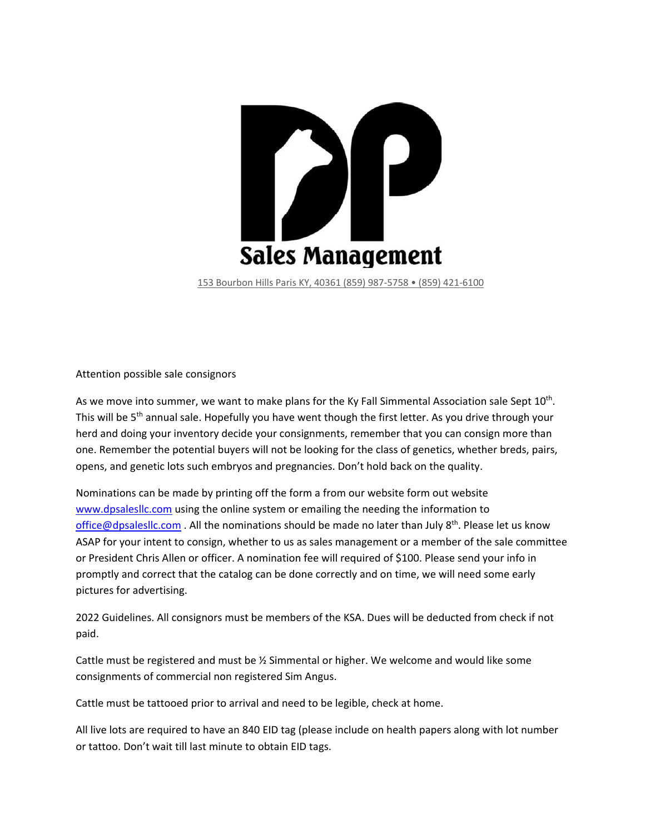

153 Bourbon Hills Paris KY, 40361 (859) 987‐5758 • (859) 421‐6100

Attention possible sale consignors

As we move into summer, we want to make plans for the Ky Fall Simmental Association sale Sept  $10^{th}$ . This will be 5<sup>th</sup> annual sale. Hopefully you have went though the first letter. As you drive through your herd and doing your inventory decide your consignments, remember that you can consign more than one. Remember the potential buyers will not be looking for the class of genetics, whether breds, pairs, opens, and genetic lots such embryos and pregnancies. Don't hold back on the quality.

Nominations can be made by printing off the form a from our website form out website www.dpsalesllc.com using the online system or emailing the needing the information to office@dpsalesllc.com . All the nominations should be made no later than July  $8^{th}$ . Please let us know ASAP for your intent to consign, whether to us as sales management or a member of the sale committee or President Chris Allen or officer. A nomination fee will required of \$100. Please send your info in promptly and correct that the catalog can be done correctly and on time, we will need some early pictures for advertising.

2022 Guidelines. All consignors must be members of the KSA. Dues will be deducted from check if not paid.

Cattle must be registered and must be ½ Simmental or higher. We welcome and would like some consignments of commercial non registered Sim Angus.

Cattle must be tattooed prior to arrival and need to be legible, check at home.

All live lots are required to have an 840 EID tag (please include on health papers along with lot number or tattoo. Don't wait till last minute to obtain EID tags.